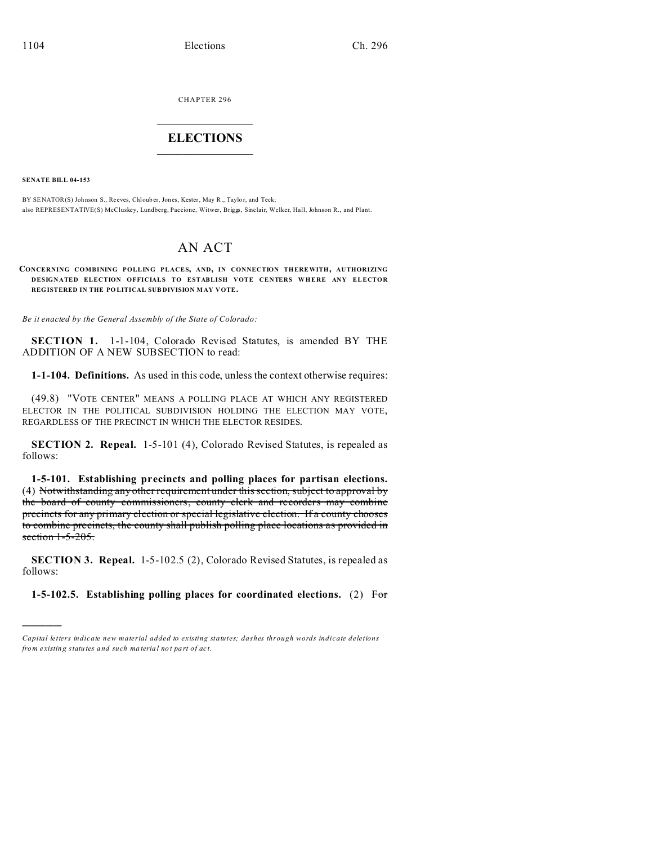CHAPTER 296

## **ELECTIONS**

**SENATE BILL 04-153** 

BY SENATOR(S) Johnson S., Reeves, Chlouber, Jones, Kester, May R., Taylor, and Teck; also REPRESENTATIVE(S) McCluskey, Lundberg, Paccione, Witwer, Briggs, Sinclair, Welker, Hall, Johnson R., and Plant.

## **AN ACT**

CONCERNING COMBINING POLLING PLACES, AND, IN CONNECTION THEREWITH, AUTHORIZING DESIGNATED ELECTION OFFICIALS TO ESTABLISH VOTE CENTERS WHERE ANY ELECTOR REGISTERED IN THE POLITICAL SUBDIVISION MAY VOTE.

Be it enacted by the General Assembly of the State of Colorado:

SECTION 1. 1-1-104, Colorado Revised Statutes, is amended BY THE ADDITION OF A NEW SUBSECTION to read:

1-1-104. Definitions. As used in this code, unless the context otherwise requires:

(49.8) "VOTE CENTER" MEANS A POLLING PLACE AT WHICH ANY REGISTERED ELECTOR IN THE POLITICAL SUBDIVISION HOLDING THE ELECTION MAY VOTE, REGARDLESS OF THE PRECINCT IN WHICH THE ELECTOR RESIDES.

SECTION 2. Repeal. 1-5-101 (4), Colorado Revised Statutes, is repealed as follows:

1-5-101. Establishing precincts and polling places for partisan elections. (4) Notwithstanding any other requirement under this section, subject to approval by the board of county commissioners, county clerk and recorders may combine precincts for any primary election or special legislative election. If a county chooses to combine precincts, the county shall publish polling place locations as provided in section  $1-5-205$ .

**SECTION 3. Repeal.** 1-5-102.5 (2), Colorado Revised Statutes, is repealed as follows:

1-5-102.5. Establishing polling places for coordinated elections. (2) For

Capital letters indicate new material added to existing statutes; dashes through words indicate deletions from existing statutes and such material not part of act.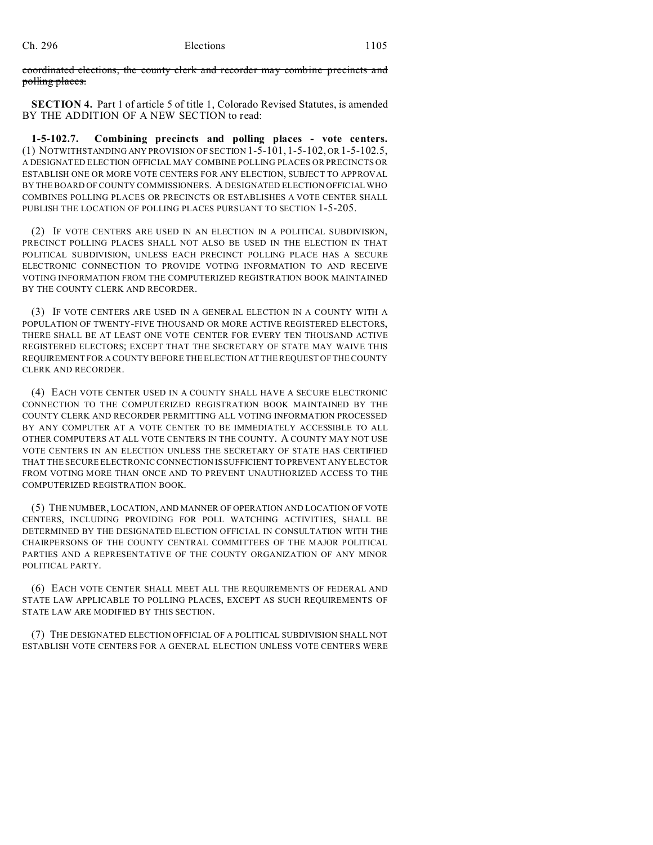coordinated elections, the county clerk and recorder may combine precincts and polling places.

**SECTION 4.** Part 1 of article 5 of title 1, Colorado Revised Statutes, is amended BY THE ADDITION OF A NEW SECTION to read:

**1-5-102.7. Combining precincts and polling places - vote centers.** (1) NOTWITHSTANDING ANY PROVISION OF SECTION 1-5-101, 1-5-102, OR 1-5-102.5, A DESIGNATED ELECTION OFFICIAL MAY COMBINE POLLING PLACES OR PRECINCTS OR ESTABLISH ONE OR MORE VOTE CENTERS FOR ANY ELECTION, SUBJECT TO APPROVAL BY THE BOARD OF COUNTY COMMISSIONERS. A DESIGNATED ELECTION OFFICIAL WHO COMBINES POLLING PLACES OR PRECINCTS OR ESTABLISHES A VOTE CENTER SHALL PUBLISH THE LOCATION OF POLLING PLACES PURSUANT TO SECTION 1-5-205.

(2) IF VOTE CENTERS ARE USED IN AN ELECTION IN A POLITICAL SUBDIVISION, PRECINCT POLLING PLACES SHALL NOT ALSO BE USED IN THE ELECTION IN THAT POLITICAL SUBDIVISION, UNLESS EACH PRECINCT POLLING PLACE HAS A SECURE ELECTRONIC CONNECTION TO PROVIDE VOTING INFORMATION TO AND RECEIVE VOTING INFORMATION FROM THE COMPUTERIZED REGISTRATION BOOK MAINTAINED BY THE COUNTY CLERK AND RECORDER.

(3) IF VOTE CENTERS ARE USED IN A GENERAL ELECTION IN A COUNTY WITH A POPULATION OF TWENTY-FIVE THOUSAND OR MORE ACTIVE REGISTERED ELECTORS, THERE SHALL BE AT LEAST ONE VOTE CENTER FOR EVERY TEN THOUSAND ACTIVE REGISTERED ELECTORS; EXCEPT THAT THE SECRETARY OF STATE MAY WAIVE THIS REQUIREMENT FOR A COUNTY BEFORE THE ELECTION AT THE REQUEST OF THE COUNTY CLERK AND RECORDER.

(4) EACH VOTE CENTER USED IN A COUNTY SHALL HAVE A SECURE ELECTRONIC CONNECTION TO THE COMPUTERIZED REGISTRATION BOOK MAINTAINED BY THE COUNTY CLERK AND RECORDER PERMITTING ALL VOTING INFORMATION PROCESSED BY ANY COMPUTER AT A VOTE CENTER TO BE IMMEDIATELY ACCESSIBLE TO ALL OTHER COMPUTERS AT ALL VOTE CENTERS IN THE COUNTY. A COUNTY MAY NOT USE VOTE CENTERS IN AN ELECTION UNLESS THE SECRETARY OF STATE HAS CERTIFIED THAT THE SECURE ELECTRONIC CONNECTION IS SUFFICIENT TO PREVENT ANY ELECTOR FROM VOTING MORE THAN ONCE AND TO PREVENT UNAUTHORIZED ACCESS TO THE COMPUTERIZED REGISTRATION BOOK.

(5) THE NUMBER, LOCATION, AND MANNER OF OPERATION AND LOCATION OF VOTE CENTERS, INCLUDING PROVIDING FOR POLL WATCHING ACTIVITIES, SHALL BE DETERMINED BY THE DESIGNATED ELECTION OFFICIAL IN CONSULTATION WITH THE CHAIRPERSONS OF THE COUNTY CENTRAL COMMITTEES OF THE MAJOR POLITICAL PARTIES AND A REPRESENTATIVE OF THE COUNTY ORGANIZATION OF ANY MINOR POLITICAL PARTY.

(6) EACH VOTE CENTER SHALL MEET ALL THE REQUIREMENTS OF FEDERAL AND STATE LAW APPLICABLE TO POLLING PLACES, EXCEPT AS SUCH REQUIREMENTS OF STATE LAW ARE MODIFIED BY THIS SECTION.

(7) THE DESIGNATED ELECTION OFFICIAL OF A POLITICAL SUBDIVISION SHALL NOT ESTABLISH VOTE CENTERS FOR A GENERAL ELECTION UNLESS VOTE CENTERS WERE